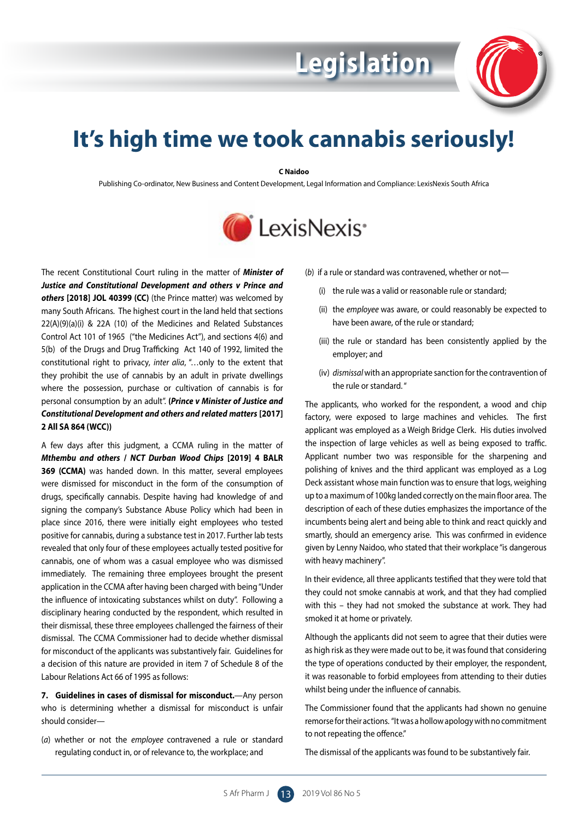

## **It's high time we took cannabis seriously!**

## **C Naidoo**

Publishing Co-ordinator, New Business and Content Development, Legal Information and Compliance: LexisNexis South Africa



The recent Constitutional Court ruling in the matter of *Minister of Justice and Constitutional Development and others v Prince and others* **[2018] JOL 40399 (CC)** (the Prince matter) was welcomed by many South Africans. The highest court in the land held that sections 22(A)(9)(a)(i) & 22A (10) of the Medicines and Related Substances Control Act 101 of 1965 ("the Medicines Act"), and sections 4(6) and 5(b) of the Drugs and Drug Trafficking Act 140 of 1992, limited the constitutional right to privacy, *inter alia*, "…only to the extent that they prohibit the use of cannabis by an adult in private dwellings where the possession, purchase or cultivation of cannabis is for personal consumption by an adult". **(***Prince v Minister of Justice and Constitutional Development and others and related matters* **[2017] 2 All SA 864 (WCC))**

A few days after this judgment, a CCMA ruling in the matter of *Mthembu and others* **/** *NCT Durban Wood Chips* **[2019] 4 BALR 369 (CCMA)** was handed down. In this matter, several employees were dismissed for misconduct in the form of the consumption of drugs, specifically cannabis. Despite having had knowledge of and signing the company's Substance Abuse Policy which had been in place since 2016, there were initially eight employees who tested positive for cannabis, during a substance test in 2017. Further lab tests revealed that only four of these employees actually tested positive for cannabis, one of whom was a casual employee who was dismissed immediately. The remaining three employees brought the present application in the CCMA after having been charged with being "Under the influence of intoxicating substances whilst on duty". Following a disciplinary hearing conducted by the respondent, which resulted in their dismissal, these three employees challenged the fairness of their dismissal. The CCMA Commissioner had to decide whether dismissal for misconduct of the applicants was substantively fair. Guidelines for a decision of this nature are provided in item 7 of Schedule 8 of the Labour Relations Act 66 of 1995 as follows:

**7. Guidelines in cases of dismissal for misconduct.**—Any person who is determining whether a dismissal for misconduct is unfair should consider—

(*a*) whether or not the *employee*  contravened a rule or standard regulating conduct in, or of relevance to, the workplace; and

(*b*) if a rule or standard was contravened, whether or not—

**Legislation**

- (i) the rule was a valid or reasonable rule or standard;
- (ii) the *employee* was aware, or could reasonably be expected to have been aware, of the rule or standard;
- (iii) the rule or standard has been consistently applied by the employer; and
- (iv) *dismissal* with an appropriate sanction for the contravention of the rule or standard. "

The applicants, who worked for the respondent, a wood and chip factory, were exposed to large machines and vehicles. The first applicant was employed as a Weigh Bridge Clerk. His duties involved the inspection of large vehicles as well as being exposed to traffic. Applicant number two was responsible for the sharpening and polishing of knives and the third applicant was employed as a Log Deck assistant whose main function was to ensure that logs, weighing up to a maximum of 100kg landed correctly on the main floor area. The description of each of these duties emphasizes the importance of the incumbents being alert and being able to think and react quickly and smartly, should an emergency arise. This was confirmed in evidence given by Lenny Naidoo, who stated that their workplace "is dangerous with heavy machinery".

In their evidence, all three applicants testified that they were told that they could not smoke cannabis at work, and that they had complied with this – they had not smoked the substance at work. They had smoked it at home or privately.

Although the applicants did not seem to agree that their duties were as high risk as they were made out to be, it was found that considering the type of operations conducted by their employer, the respondent, it was reasonable to forbid employees from attending to their duties whilst being under the influence of cannabis.

The Commissioner found that the applicants had shown no genuine remorse for their actions. "It was a hollow apology with no commitment to not repeating the offence."

The dismissal of the applicants was found to be substantively fair.